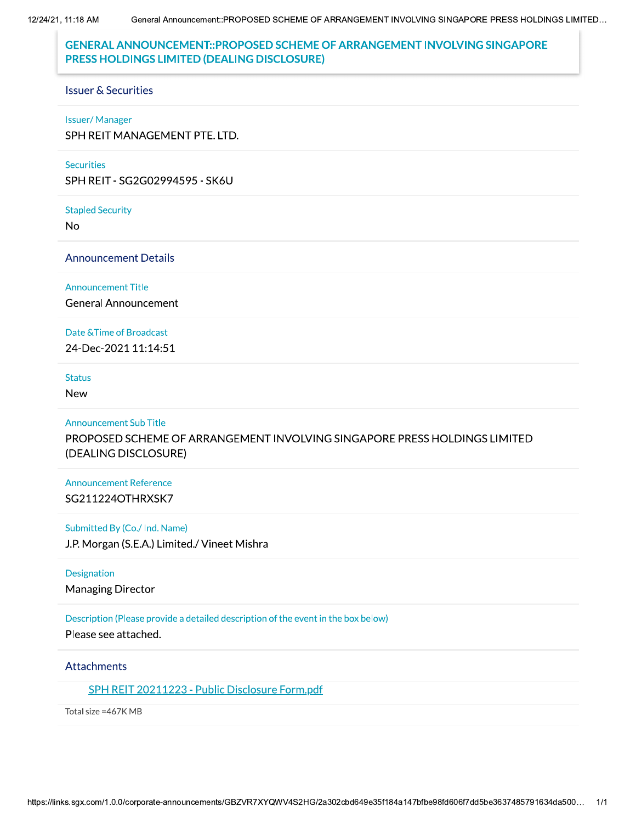12/24/21, 11:18 AM

# **GENERAL ANNOUNCEMENT::PROPOSED SCHEME OF ARRANGEMENT INVOLVING SINGAPORE** PRESS HOLDINGS LIMITED (DEALING DISCLOSURE)

#### **Issuer & Securities**

#### **Issuer/Manager**

SPH REIT MANAGEMENT PTE. LTD.

#### **Securities**

SPH REIT - SG2G02994595 - SK6U

#### **Stapled Security**

**No** 

### **Announcement Details**

#### **Announcement Title**

**General Announcement** 

### Date & Time of Broadcast

24-Dec-2021 11:14:51

### **Status**

**New** 

### **Announcement Sub Title**

PROPOSED SCHEME OF ARRANGEMENT INVOLVING SINGAPORE PRESS HOLDINGS LIMITED (DEALING DISCLOSURE)

## **Announcement Reference** SG211224OTHRXSK7

### Submitted By (Co./ Ind. Name)

J.P. Morgan (S.E.A.) Limited./ Vineet Mishra

### Designation

**Managing Director** 

### Description (Please provide a detailed description of the event in the box below)

Please see attached.

### **Attachments**

## SPH REIT 20211223 - Public Disclosure Form.pdf

Total size = 467K MB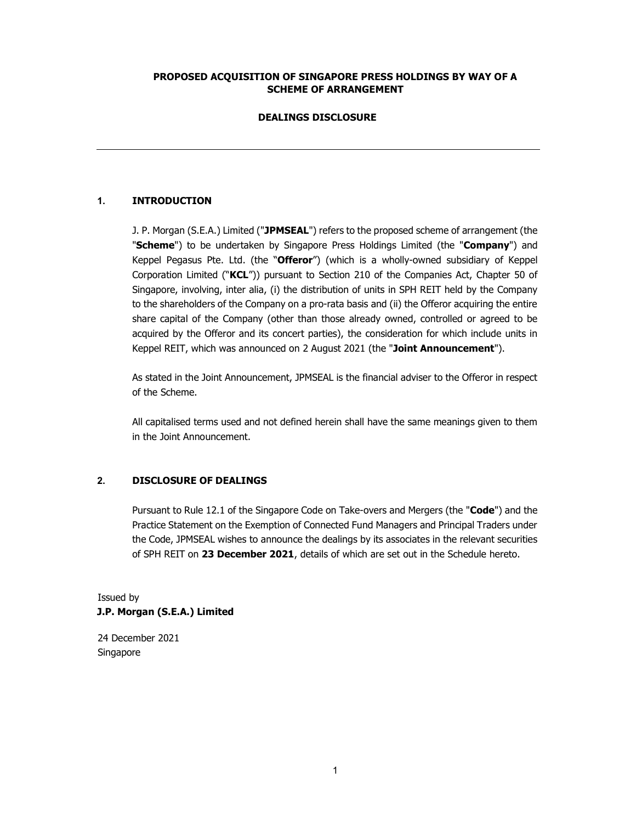## PROPOSED ACQUISITION OF SINGAPORE PRESS HOLDINGS BY WAY OF A SCHEME OF ARRANGEMENT

### DEALINGS DISCLOSURE

## 1. INTRODUCTION

J. P. Morgan (S.E.A.) Limited ("JPMSEAL") refers to the proposed scheme of arrangement (the "Scheme") to be undertaken by Singapore Press Holdings Limited (the "Company") and Keppel Pegasus Pte. Ltd. (the "Offeror") (which is a wholly-owned subsidiary of Keppel Corporation Limited ("KCL")) pursuant to Section 210 of the Companies Act, Chapter 50 of Singapore, involving, inter alia, (i) the distribution of units in SPH REIT held by the Company to the shareholders of the Company on a pro-rata basis and (ii) the Offeror acquiring the entire share capital of the Company (other than those already owned, controlled or agreed to be acquired by the Offeror and its concert parties), the consideration for which include units in Keppel REIT, which was announced on 2 August 2021 (the "Joint Announcement").

As stated in the Joint Announcement, JPMSEAL is the financial adviser to the Offeror in respect of the Scheme.

All capitalised terms used and not defined herein shall have the same meanings given to them in the Joint Announcement.

## 2. DISCLOSURE OF DEALINGS

Pursuant to Rule 12.1 of the Singapore Code on Take-overs and Mergers (the "Code") and the Practice Statement on the Exemption of Connected Fund Managers and Principal Traders under the Code, JPMSEAL wishes to announce the dealings by its associates in the relevant securities of SPH REIT on 23 December 2021, details of which are set out in the Schedule hereto.

# Issued by J.P. Morgan (S.E.A.) Limited

24 December 2021 Singapore